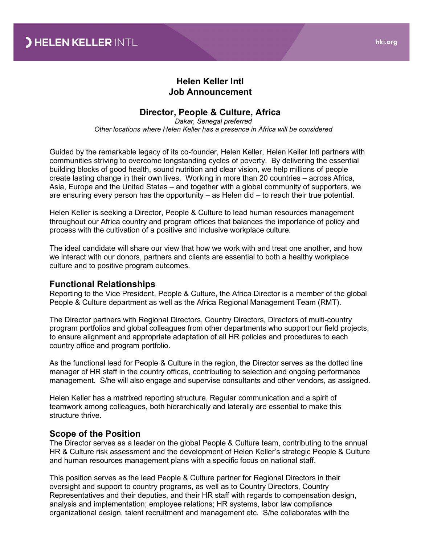## Helen Keller Intl Job Announcement

## Director, People & Culture, Africa

Dakar, Senegal preferred Other locations where Helen Keller has a presence in Africa will be considered

Guided by the remarkable legacy of its co-founder, Helen Keller, Helen Keller Intl partners with communities striving to overcome longstanding cycles of poverty. By delivering the essential building blocks of good health, sound nutrition and clear vision, we help millions of people create lasting change in their own lives. Working in more than 20 countries – across Africa, Asia, Europe and the United States – and together with a global community of supporters, we are ensuring every person has the opportunity – as Helen did – to reach their true potential.

Helen Keller is seeking a Director, People & Culture to lead human resources management throughout our Africa country and program offices that balances the importance of policy and process with the cultivation of a positive and inclusive workplace culture.

The ideal candidate will share our view that how we work with and treat one another, and how we interact with our donors, partners and clients are essential to both a healthy workplace culture and to positive program outcomes.

#### Functional Relationships

Reporting to the Vice President, People & Culture, the Africa Director is a member of the global People & Culture department as well as the Africa Regional Management Team (RMT).

The Director partners with Regional Directors, Country Directors, Directors of multi-country program portfolios and global colleagues from other departments who support our field projects, to ensure alignment and appropriate adaptation of all HR policies and procedures to each country office and program portfolio.

As the functional lead for People & Culture in the region, the Director serves as the dotted line manager of HR staff in the country offices, contributing to selection and ongoing performance management. S/he will also engage and supervise consultants and other vendors, as assigned.

Helen Keller has a matrixed reporting structure. Regular communication and a spirit of teamwork among colleagues, both hierarchically and laterally are essential to make this structure thrive.

### Scope of the Position

The Director serves as a leader on the global People & Culture team, contributing to the annual HR & Culture risk assessment and the development of Helen Keller's strategic People & Culture and human resources management plans with a specific focus on national staff.

This position serves as the lead People & Culture partner for Regional Directors in their oversight and support to country programs, as well as to Country Directors, Country Representatives and their deputies, and their HR staff with regards to compensation design, analysis and implementation; employee relations; HR systems, labor law compliance organizational design, talent recruitment and management etc. S/he collaborates with the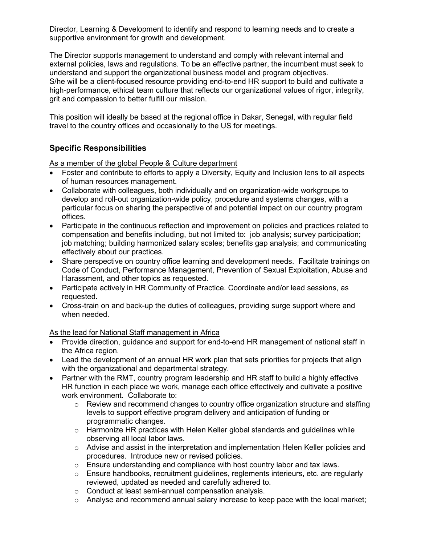Director, Learning & Development to identify and respond to learning needs and to create a supportive environment for growth and development.

The Director supports management to understand and comply with relevant internal and external policies, laws and regulations. To be an effective partner, the incumbent must seek to understand and support the organizational business model and program objectives. S/he will be a client-focused resource providing end-to-end HR support to build and cultivate a high-performance, ethical team culture that reflects our organizational values of rigor, integrity, grit and compassion to better fulfill our mission.

This position will ideally be based at the regional office in Dakar, Senegal, with regular field travel to the country offices and occasionally to the US for meetings.

### Specific Responsibilities

As a member of the global People & Culture department

- Foster and contribute to efforts to apply a Diversity, Equity and Inclusion lens to all aspects of human resources management.
- Collaborate with colleagues, both individually and on organization-wide workgroups to develop and roll-out organization-wide policy, procedure and systems changes, with a particular focus on sharing the perspective of and potential impact on our country program offices.
- Participate in the continuous reflection and improvement on policies and practices related to compensation and benefits including, but not limited to: job analysis; survey participation; job matching; building harmonized salary scales; benefits gap analysis; and communicating effectively about our practices.
- Share perspective on country office learning and development needs. Facilitate trainings on Code of Conduct, Performance Management, Prevention of Sexual Exploitation, Abuse and Harassment, and other topics as requested.
- Participate actively in HR Community of Practice. Coordinate and/or lead sessions, as requested.
- Cross-train on and back-up the duties of colleagues, providing surge support where and when needed.

### As the lead for National Staff management in Africa

- Provide direction, guidance and support for end-to-end HR management of national staff in the Africa region.
- Lead the development of an annual HR work plan that sets priorities for projects that align with the organizational and departmental strategy.
- Partner with the RMT, country program leadership and HR staff to build a highly effective HR function in each place we work, manage each office effectively and cultivate a positive work environment. Collaborate to:
	- $\circ$  Review and recommend changes to country office organization structure and staffing levels to support effective program delivery and anticipation of funding or programmatic changes.
	- $\circ$  Harmonize HR practices with Helen Keller global standards and quidelines while observing all local labor laws.
	- $\circ$  Advise and assist in the interpretation and implementation Helen Keller policies and procedures. Introduce new or revised policies.
	- $\circ$  Ensure understanding and compliance with host country labor and tax laws.
	- o Ensure handbooks, recruitment guidelines, reglements interieurs, etc. are regularly reviewed, updated as needed and carefully adhered to.
	- o Conduct at least semi-annual compensation analysis.
	- o Analyse and recommend annual salary increase to keep pace with the local market;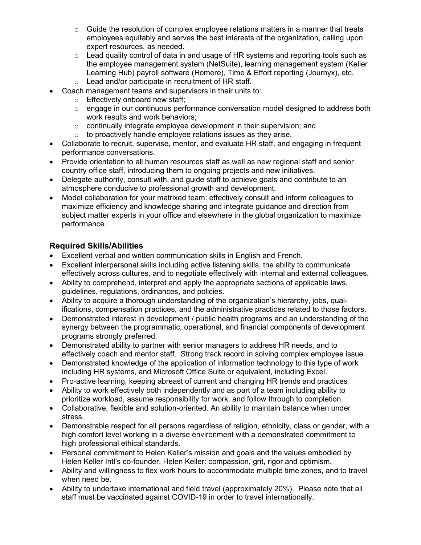- $\circ$  Guide the resolution of complex employee relations matters in a manner that treats employees equitably and serves the best interests of the organization, calling upon expert resources, as needed.
- $\circ$  Lead quality control of data in and usage of HR systems and reporting tools such as the employee management system (NetSuite), learning management system (Keller Learning Hub) payroll software (Homere), Time & Effort reporting (Journyx), etc.
- o Lead and/or participate in recruitment of HR staff.
- Coach management teams and supervisors in their units to:
	- o Effectively onboard new staff;
	- $\circ$  engage in our continuous performance conversation model designed to address both work results and work behaviors;
	- $\circ$  continually integrate employee development in their supervision; and
	- $\circ$  to proactively handle employee relations issues as they arise.
- Collaborate to recruit, supervise, mentor, and evaluate HR staff, and engaging in frequent performance conversations.
- Provide orientation to all human resources staff as well as new regional staff and senior country office staff, introducing them to ongoing projects and new initiatives.
- Delegate authority, consult with, and quide staff to achieve goals and contribute to an atmosphere conducive to professional growth and development.
- Model collaboration for your matrixed team: effectively consult and inform colleagues to maximize efficiency and knowledge sharing and integrate guidance and direction from subject matter experts in your office and elsewhere in the global organization to maximize performance.

# Required Skills/Abilities

- Excellent verbal and written communication skills in English and French.
- Excellent interpersonal skills including active listening skills, the ability to communicate effectively across cultures, and to negotiate effectively with internal and external colleagues.
- Ability to comprehend, interpret and apply the appropriate sections of applicable laws, guidelines, regulations, ordinances, and policies.
- Ability to acquire a thorough understanding of the organization's hierarchy, jobs, qualifications, compensation practices, and the administrative practices related to those factors.
- Demonstrated interest in development / public health programs and an understanding of the synergy between the programmatic, operational, and financial components of development programs strongly preferred.
- Demonstrated ability to partner with senior managers to address HR needs, and to effectively coach and mentor staff. Strong track record in solving complex employee issue
- Demonstrated knowledge of the application of information technology to this type of work including HR systems, and Microsoft Office Suite or equivalent, including Excel.
- Pro-active learning, keeping abreast of current and changing HR trends and practices
- Ability to work effectively both independently and as part of a team including ability to prioritize workload, assume responsibility for work, and follow through to completion.
- Collaborative, flexible and solution-oriented. An ability to maintain balance when under stress.
- Demonstrable respect for all persons regardless of religion, ethnicity, class or gender, with a high comfort level working in a diverse environment with a demonstrated commitment to high professional ethical standards.
- Personal commitment to Helen Keller's mission and goals and the values embodied by Helen Keller Intl's co-founder, Helen Keller: compassion, grit, rigor and optimism.
- Ability and willingness to flex work hours to accommodate multiple time zones, and to travel when need be.
- Ability to undertake international and field travel (approximately 20%). Please note that all staff must be vaccinated against COVID-19 in order to travel internationally.